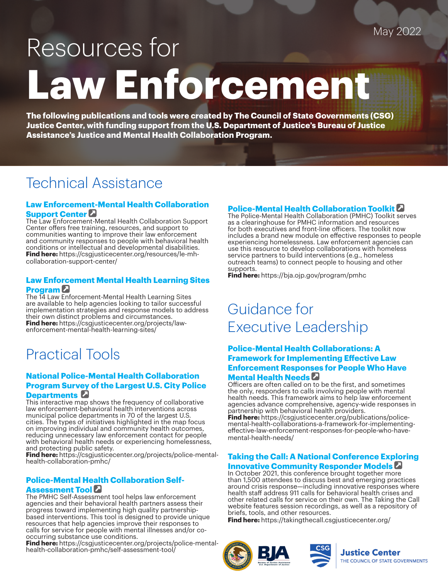### May 2022

# Resources for **Law Enforcement**

**The following publications and tools were created by The Council of State Governments (CSG) Justice Center, with funding support from the U.S. Department of Justice's Bureau of Justice Assistance's Justice and Mental Health Collaboration Program.**

## Technical Assistance

#### **Law Enforceme[nt-M](https://csgjusticecenter.org/resources/le-mh-collaboration-support-center/)ental Health Collaboration Support Center**

The Law Enforcement-Mental Health Collaboration Support Center offers free training, resources, and support to communities wanting to improve their law enforcement and community responses to people with behavioral health conditions or intellectual and developmental disabilities. **Find here:** https://csgjusticecenter.org/resources/le-mhcollaboration-support-center/

#### **Law Enforcement Mental Health Learning Sites Progra[m](https://csgjusticecenter.org/projects/law-enforcement-mental-health-learning-sites/)**

The 14 Law Enforcement-Mental Health Learning Sites are available to help agencies looking to tailor successful implementation strategies and response models to address their own distinct problems and circumstances. **Find here:** https://csgjusticecenter.org/projects/lawenforcement-mental-health-learning-sites/

## Practical Tools

#### **National Police-Mental Health Collaboration Program Sur[vey](https://csgjusticecenter.org/projects/police-mental-health-collaboration-pmhc/) of the Largest U.S. City Police Departments**

This interactive map shows the frequency of collaborative law enforcement-behavioral health interventions across municipal police departments in 70 of the largest U.S. cities. The types of initiatives highlighted in the map focus on improving individual and community health outcomes, reducing unnecessary law enforcement contact for people with behavioral health needs or experiencing homelessness, and protecting public safety.

**Find here:** https://csgjusticecenter.org/projects/police-mentalhealth-collaboration-pmhc/

#### **Police-Mental H[ealt](https://csgjusticecenter.org/projects/police-mental-health-collaboration-pmhc/self-assessment-tool/)h Collaboration Self-**

#### **Assessment Tool**

The PMHC Self-Assessment tool helps law enforcement agencies and their behavioral health partners assess their progress toward implementing high quality partnershipbased interventions. This tool is designed to provide unique resources that help agencies improve their responses to calls for service for people with mental illnesses and/or cooccurring substance use conditions.

**Find here:** https://csgjusticecenter.org/projects/police-mentalhealth-collaboration-pmhc/self-assessment-tool/

#### **Police-Mental Health Collaboration Toolkit**

The Police-Mental Health Collaboration (PMHC) Toolkit serves as a clearinghouse for PMHC information and resources for both executives and front-line officers. The toolkit now includes a brand new module on effective responses to people experiencing homelessness. Law enforcement agencies can use this resource to develop collaborations with homeless service partners to build interventions (e.g., homeless outreach teams) to connect people to housing and other supports.

**Find here:** https://bja.ojp.gov/program/pmhc

## Guidance for Executive Leadership

#### **Police-Mental Health Collaborations: A Framework for Implementing Effective Law Enforcement Respo[nses](https://csgjusticecenter.org/publications/police-mental-health-collaborations-a-framework-for-implementing-effective-law-enforcement-responses-for-people-who-have-mental-health-needs/) for People Who Have Mental Health Needs**

Officers are often called on to be the first, and sometimes the only, responders to calls involving people with mental health needs. This framework aims to help law enforcement agencies advance comprehensive, agency-wide responses in partnership with behavioral health providers.

**Find here:** https://csgjusticecenter.org/publications/policemental-health-collaborations-a-framework-for-implementingeffective-law-enforcement-responses-for-people-who-havemental-health-needs/

#### **Taking the Call: A National Conference Exploring Innovative Community Responder Models**

In October 2021, this conference brought together more than 1,500 attendees to discuss best and emerging practices around crisis response—including innovative responses where health staff address 911 calls for behavioral health crises and other related calls for service on their own. The Taking the Call website features session recordings, as well as a repository of briefs, tools, and other resources.

**Find here:** https://takingthecall.csgjusticecenter.org/